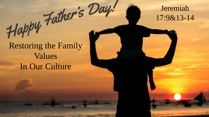#### Jeremiah 17:9&13-14

# Happy Father's Day.<br>Restoring the Family Values In Our Culture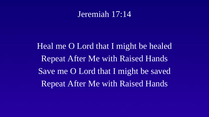#### Jeremiah 17:14

Heal me O Lord that I might be healed Repeat After Me with Raised Hands Save me O Lord that I might be saved Repeat After Me with Raised Hands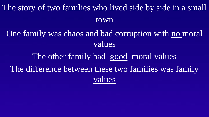The story of two families who lived side by side in a small town

One family was chaos and bad corruption with no moral values

The other family had good moral values The difference between these two families was family values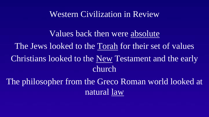#### Western Civilization in Review

Values back then were absolute The Jews looked to the Torah for their set of values Christians looked to the New Testament and the early church The philosopher from the Greco Roman world looked at

natural law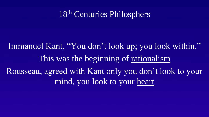## 18th Centuries Philosphers

Immanuel Kant, "You don't look up; you look within." This was the beginning of rationalism Rousseau, agreed with Kant only you don't look to your mind, you look to your heart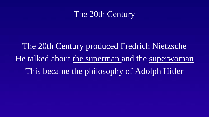### The 20th Century

The 20th Century produced Fredrich Nietzsche He talked about the superman and the superwoman This became the philosophy of Adolph Hitler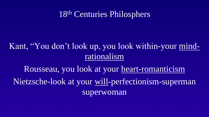## 18th Centuries Philosphers

## Kant, "You don't look up, you look within-your mindrationalism

Rousseau, you look at your heart-romanticism Nietzsche-look at your will-perfectionism-superman superwoman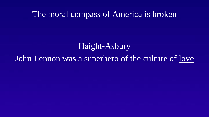#### The moral compass of America is broken

## Haight-Asbury

## John Lennon was a superhero of the culture of <u>love</u>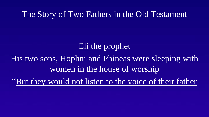#### The Story of Two Fathers in the Old Testament

# Eli the prophet

His two sons, Hophni and Phineas were sleeping with women in the house of worship

"But they would not listen to the voice of their father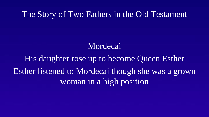The Story of Two Fathers in the Old Testament

# Mordecai

His daughter rose up to become Queen Esther Esther listened to Mordecai though she was a grown woman in a high position